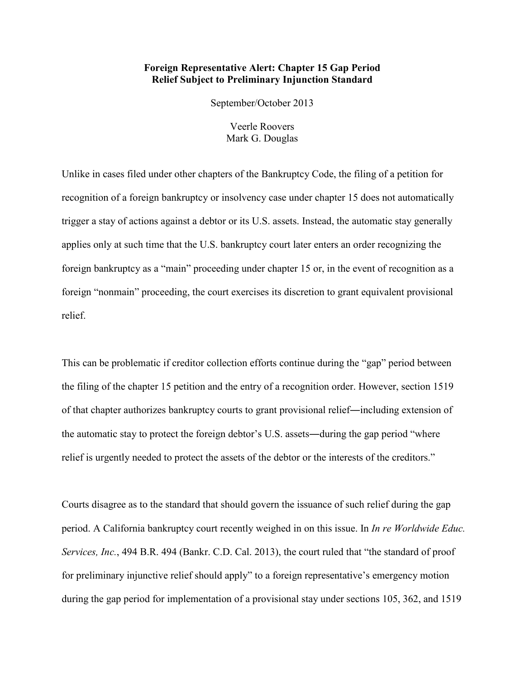## **Foreign Representative Alert: Chapter 15 Gap Period Relief Subject to Preliminary Injunction Standard**

September/October 2013

Veerle Roovers Mark G. Douglas

Unlike in cases filed under other chapters of the Bankruptcy Code, the filing of a petition for recognition of a foreign bankruptcy or insolvency case under chapter 15 does not automatically trigger a stay of actions against a debtor or its U.S. assets. Instead, the automatic stay generally applies only at such time that the U.S. bankruptcy court later enters an order recognizing the foreign bankruptcy as a "main" proceeding under chapter 15 or, in the event of recognition as a foreign "nonmain" proceeding, the court exercises its discretion to grant equivalent provisional relief.

This can be problematic if creditor collection efforts continue during the "gap" period between the filing of the chapter 15 petition and the entry of a recognition order. However, section 1519 of that chapter authorizes bankruptcy courts to grant provisional relief―including extension of the automatic stay to protect the foreign debtor's U.S. assets―during the gap period "where relief is urgently needed to protect the assets of the debtor or the interests of the creditors."

Courts disagree as to the standard that should govern the issuance of such relief during the gap period. A California bankruptcy court recently weighed in on this issue. In *In re Worldwide Educ. Services, Inc.*, 494 B.R. 494 (Bankr. C.D. Cal. 2013), the court ruled that "the standard of proof for preliminary injunctive relief should apply" to a foreign representative's emergency motion during the gap period for implementation of a provisional stay under sections 105, 362, and 1519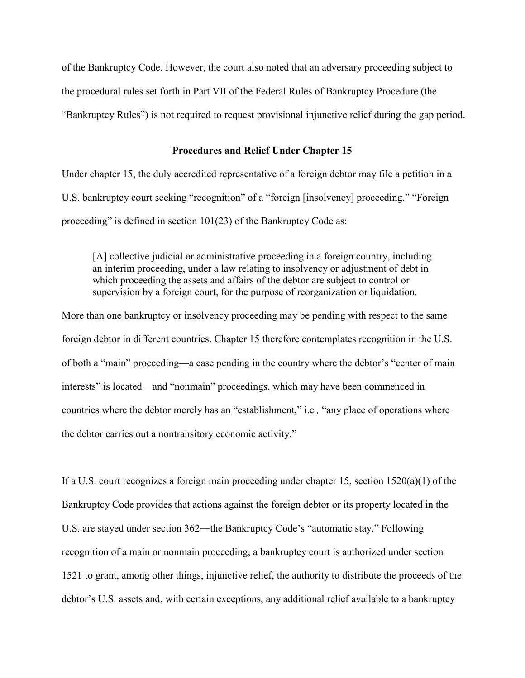of the Bankruptcy Code. However, the court also noted that an adversary proceeding subject to the procedural rules set forth in Part VII of the Federal Rules of Bankruptcy Procedure (the "Bankruptcy Rules") is not required to request provisional injunctive relief during the gap period.

# **Procedures and Relief Under Chapter 15**

Under chapter 15, the duly accredited representative of a foreign debtor may file a petition in a U.S. bankruptcy court seeking "recognition" of a "foreign [insolvency] proceeding." "Foreign proceeding" is defined in section 101(23) of the Bankruptcy Code as:

[A] collective judicial or administrative proceeding in a foreign country, including an interim proceeding, under a law relating to insolvency or adjustment of debt in which proceeding the assets and affairs of the debtor are subject to control or supervision by a foreign court, for the purpose of reorganization or liquidation.

More than one bankruptcy or insolvency proceeding may be pending with respect to the same foreign debtor in different countries. Chapter 15 therefore contemplates recognition in the U.S. of both a "main" proceeding—a case pending in the country where the debtor's "center of main interests" is located—and "nonmain" proceedings, which may have been commenced in countries where the debtor merely has an "establishment," i.e*.,* "any place of operations where the debtor carries out a nontransitory economic activity."

If a U.S. court recognizes a foreign main proceeding under chapter 15, section  $1520(a)(1)$  of the Bankruptcy Code provides that actions against the foreign debtor or its property located in the U.S. are stayed under section 362—the Bankruptcy Code's "automatic stay." Following recognition of a main or nonmain proceeding, a bankruptcy court is authorized under section 1521 to grant, among other things, injunctive relief, the authority to distribute the proceeds of the debtor's U.S. assets and, with certain exceptions, any additional relief available to a bankruptcy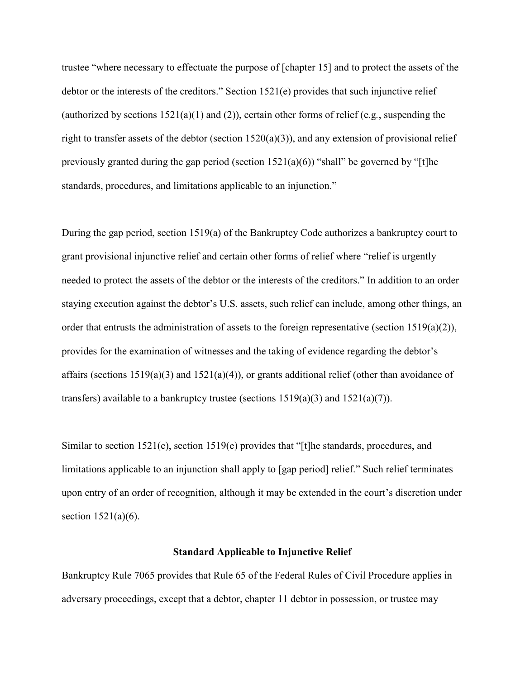trustee "where necessary to effectuate the purpose of [chapter 15] and to protect the assets of the debtor or the interests of the creditors." Section 1521(e) provides that such injunctive relief (authorized by sections 1521(a)(1) and (2)), certain other forms of relief (e.g*.*, suspending the right to transfer assets of the debtor (section 1520(a)(3)), and any extension of provisional relief previously granted during the gap period (section  $1521(a)(6)$ ) "shall" be governed by "[t]he standards, procedures, and limitations applicable to an injunction."

During the gap period, section 1519(a) of the Bankruptcy Code authorizes a bankruptcy court to grant provisional injunctive relief and certain other forms of relief where "relief is urgently needed to protect the assets of the debtor or the interests of the creditors." In addition to an order staying execution against the debtor's U.S. assets, such relief can include, among other things, an order that entrusts the administration of assets to the foreign representative (section 1519(a)(2)), provides for the examination of witnesses and the taking of evidence regarding the debtor's affairs (sections  $1519(a)(3)$  and  $1521(a)(4)$ ), or grants additional relief (other than avoidance of transfers) available to a bankruptcy trustee (sections  $1519(a)(3)$  and  $1521(a)(7)$ ).

Similar to section 1521(e), section 1519(e) provides that "[t]he standards, procedures, and limitations applicable to an injunction shall apply to [gap period] relief." Such relief terminates upon entry of an order of recognition, although it may be extended in the court's discretion under section  $1521(a)(6)$ .

#### **Standard Applicable to Injunctive Relief**

Bankruptcy Rule 7065 provides that Rule 65 of the Federal Rules of Civil Procedure applies in adversary proceedings, except that a debtor, chapter 11 debtor in possession, or trustee may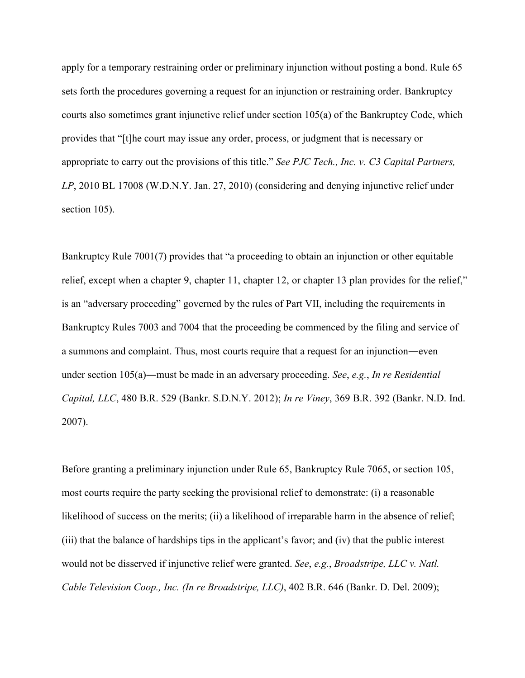apply for a temporary restraining order or preliminary injunction without posting a bond. Rule 65 sets forth the procedures governing a request for an injunction or restraining order. Bankruptcy courts also sometimes grant injunctive relief under section 105(a) of the Bankruptcy Code, which provides that "[t]he court may issue any order, process, or judgment that is necessary or appropriate to carry out the provisions of this title." *See PJC Tech., Inc. v. C3 Capital Partners, LP*, 2010 BL 17008 (W.D.N.Y. Jan. 27, 2010) (considering and denying injunctive relief under section 105).

Bankruptcy Rule 7001(7) provides that "a proceeding to obtain an injunction or other equitable relief, except when a chapter 9, chapter 11, chapter 12, or chapter 13 plan provides for the relief," is an "adversary proceeding" governed by the rules of Part VII, including the requirements in Bankruptcy Rules 7003 and 7004 that the proceeding be commenced by the filing and service of a summons and complaint. Thus, most courts require that a request for an injunction―even under section 105(a)―must be made in an adversary proceeding. *See*, *e.g.*, *In re Residential Capital, LLC*, 480 B.R. 529 (Bankr. S.D.N.Y. 2012); *In re Viney*, 369 B.R. 392 (Bankr. N.D. Ind. 2007).

Before granting a preliminary injunction under Rule 65, Bankruptcy Rule 7065, or section 105, most courts require the party seeking the provisional relief to demonstrate: (i) a reasonable likelihood of success on the merits; (ii) a likelihood of irreparable harm in the absence of relief; (iii) that the balance of hardships tips in the applicant's favor; and (iv) that the public interest would not be disserved if injunctive relief were granted. *See*, *e.g.*, *Broadstripe, LLC v. Natl. Cable Television Coop., Inc. (In re Broadstripe, LLC)*, 402 B.R. 646 (Bankr. D. Del. 2009);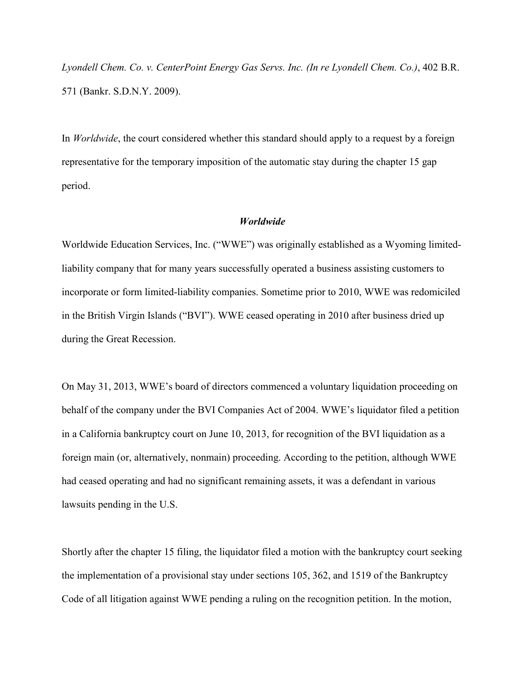*Lyondell Chem. Co. v. CenterPoint Energy Gas Servs. Inc. (In re Lyondell Chem. Co.)*, 402 B.R. 571 (Bankr. S.D.N.Y. 2009).

In *Worldwide*, the court considered whether this standard should apply to a request by a foreign representative for the temporary imposition of the automatic stay during the chapter 15 gap period.

### *Worldwide*

Worldwide Education Services, Inc. ("WWE") was originally established as a Wyoming limitedliability company that for many years successfully operated a business assisting customers to incorporate or form limited-liability companies. Sometime prior to 2010, WWE was redomiciled in the British Virgin Islands ("BVI"). WWE ceased operating in 2010 after business dried up during the Great Recession.

On May 31, 2013, WWE's board of directors commenced a voluntary liquidation proceeding on behalf of the company under the BVI Companies Act of 2004. WWE's liquidator filed a petition in a California bankruptcy court on June 10, 2013, for recognition of the BVI liquidation as a foreign main (or, alternatively, nonmain) proceeding. According to the petition, although WWE had ceased operating and had no significant remaining assets, it was a defendant in various lawsuits pending in the U.S.

Shortly after the chapter 15 filing, the liquidator filed a motion with the bankruptcy court seeking the implementation of a provisional stay under sections 105, 362, and 1519 of the Bankruptcy Code of all litigation against WWE pending a ruling on the recognition petition. In the motion,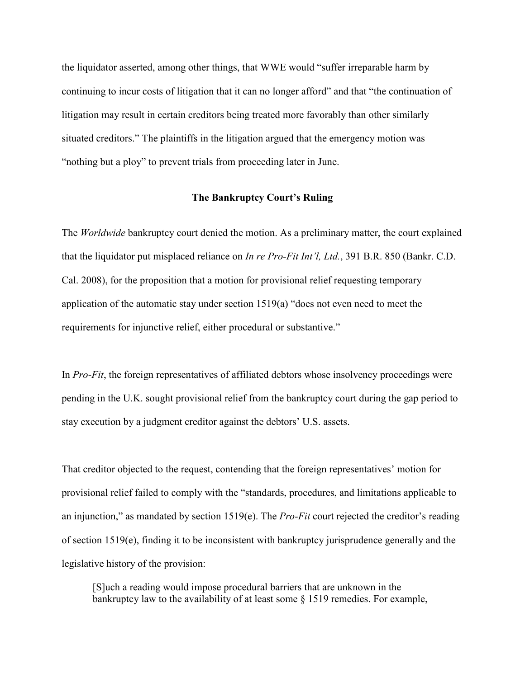the liquidator asserted, among other things, that WWE would "suffer irreparable harm by continuing to incur costs of litigation that it can no longer afford" and that "the continuation of litigation may result in certain creditors being treated more favorably than other similarly situated creditors." The plaintiffs in the litigation argued that the emergency motion was "nothing but a ploy" to prevent trials from proceeding later in June.

## **The Bankruptcy Court's Ruling**

The *Worldwide* bankruptcy court denied the motion. As a preliminary matter, the court explained that the liquidator put misplaced reliance on *In re Pro-Fit Int'l, Ltd.*, 391 B.R. 850 (Bankr. C.D. Cal. 2008), for the proposition that a motion for provisional relief requesting temporary application of the automatic stay under section 1519(a) "does not even need to meet the requirements for injunctive relief, either procedural or substantive."

In *Pro-Fit*, the foreign representatives of affiliated debtors whose insolvency proceedings were pending in the U.K. sought provisional relief from the bankruptcy court during the gap period to stay execution by a judgment creditor against the debtors' U.S. assets.

That creditor objected to the request, contending that the foreign representatives' motion for provisional relief failed to comply with the "standards, procedures, and limitations applicable to an injunction," as mandated by section 1519(e). The *Pro-Fit* court rejected the creditor's reading of section 1519(e), finding it to be inconsistent with bankruptcy jurisprudence generally and the legislative history of the provision:

[S]uch a reading would impose procedural barriers that are unknown in the bankruptcy law to the availability of at least some § 1519 remedies. For example,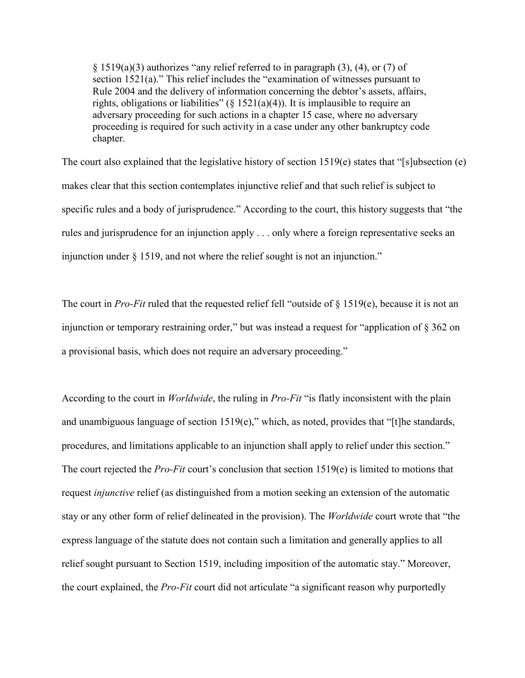§ 1519(a)(3) authorizes "any relief referred to in paragraph (3), (4), or (7) of section 1521(a)." This relief includes the "examination of witnesses pursuant to Rule 2004 and the delivery of information concerning the debtor's assets, affairs, rights, obligations or liabilities" ( $\S$  1521(a)(4)). It is implausible to require an adversary proceeding for such actions in a chapter 15 case, where no adversary proceeding is required for such activity in a case under any other bankruptcy code chapter.

The court also explained that the legislative history of section 1519(e) states that "[s]ubsection (e) makes clear that this section contemplates injunctive relief and that such relief is subject to specific rules and a body of jurisprudence." According to the court, this history suggests that "the rules and jurisprudence for an injunction apply . . . only where a foreign representative seeks an injunction under § 1519, and not where the relief sought is not an injunction."

The court in *Pro-Fit* ruled that the requested relief fell "outside of § 1519(e), because it is not an injunction or temporary restraining order," but was instead a request for "application of § 362 on a provisional basis, which does not require an adversary proceeding."

According to the court in *Worldwide*, the ruling in *Pro-Fit* "is flatly inconsistent with the plain and unambiguous language of section 1519(e)," which, as noted, provides that "[t]he standards, procedures, and limitations applicable to an injunction shall apply to relief under this section." The court rejected the *Pro-Fit* court's conclusion that section 1519(e) is limited to motions that request *injunctive* relief (as distinguished from a motion seeking an extension of the automatic stay or any other form of relief delineated in the provision). The *Worldwide* court wrote that "the express language of the statute does not contain such a limitation and generally applies to all relief sought pursuant to Section 1519, including imposition of the automatic stay." Moreover, the court explained, the *Pro-Fit* court did not articulate "a significant reason why purportedly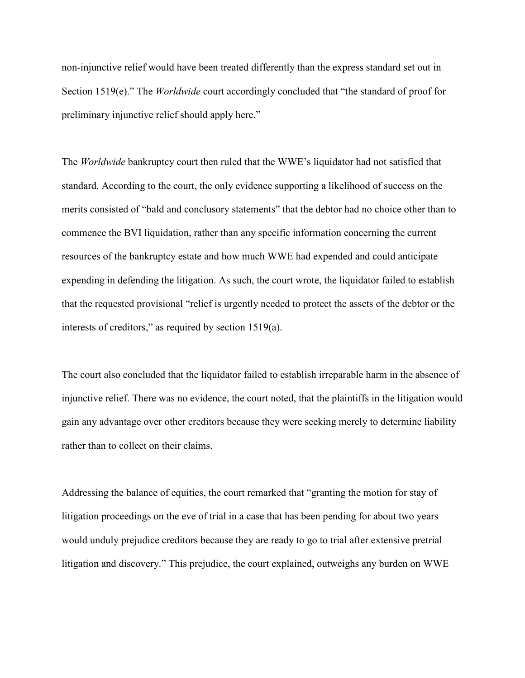non-injunctive relief would have been treated differently than the express standard set out in Section 1519(e)." The *Worldwide* court accordingly concluded that "the standard of proof for preliminary injunctive relief should apply here."

The *Worldwide* bankruptcy court then ruled that the WWE's liquidator had not satisfied that standard. According to the court, the only evidence supporting a likelihood of success on the merits consisted of "bald and conclusory statements" that the debtor had no choice other than to commence the BVI liquidation, rather than any specific information concerning the current resources of the bankruptcy estate and how much WWE had expended and could anticipate expending in defending the litigation. As such, the court wrote, the liquidator failed to establish that the requested provisional "relief is urgently needed to protect the assets of the debtor or the interests of creditors," as required by section 1519(a).

The court also concluded that the liquidator failed to establish irreparable harm in the absence of injunctive relief. There was no evidence, the court noted, that the plaintiffs in the litigation would gain any advantage over other creditors because they were seeking merely to determine liability rather than to collect on their claims.

Addressing the balance of equities, the court remarked that "granting the motion for stay of litigation proceedings on the eve of trial in a case that has been pending for about two years would unduly prejudice creditors because they are ready to go to trial after extensive pretrial litigation and discovery." This prejudice, the court explained, outweighs any burden on WWE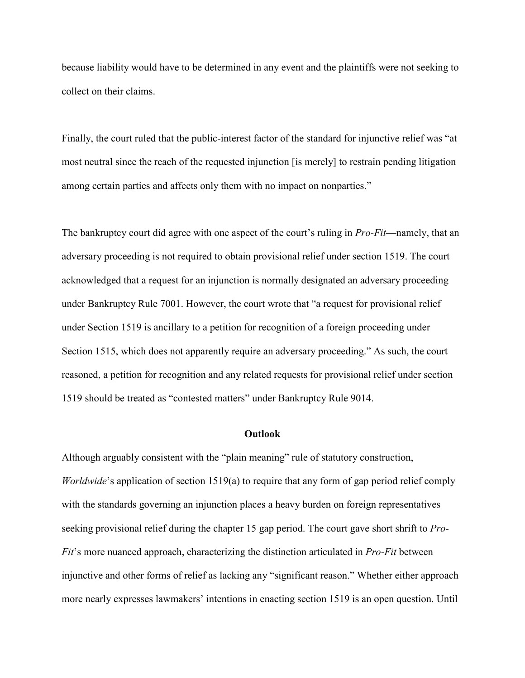because liability would have to be determined in any event and the plaintiffs were not seeking to collect on their claims.

Finally, the court ruled that the public-interest factor of the standard for injunctive relief was "at most neutral since the reach of the requested injunction [is merely] to restrain pending litigation among certain parties and affects only them with no impact on nonparties."

The bankruptcy court did agree with one aspect of the court's ruling in *Pro-Fit*—namely, that an adversary proceeding is not required to obtain provisional relief under section 1519. The court acknowledged that a request for an injunction is normally designated an adversary proceeding under Bankruptcy Rule 7001. However, the court wrote that "a request for provisional relief under Section 1519 is ancillary to a petition for recognition of a foreign proceeding under Section 1515, which does not apparently require an adversary proceeding." As such, the court reasoned, a petition for recognition and any related requests for provisional relief under section 1519 should be treated as "contested matters" under Bankruptcy Rule 9014.

## **Outlook**

Although arguably consistent with the "plain meaning" rule of statutory construction, *Worldwide*'s application of section 1519(a) to require that any form of gap period relief comply with the standards governing an injunction places a heavy burden on foreign representatives seeking provisional relief during the chapter 15 gap period. The court gave short shrift to *Pro-Fit*'s more nuanced approach, characterizing the distinction articulated in *Pro-Fit* between injunctive and other forms of relief as lacking any "significant reason." Whether either approach more nearly expresses lawmakers' intentions in enacting section 1519 is an open question. Until